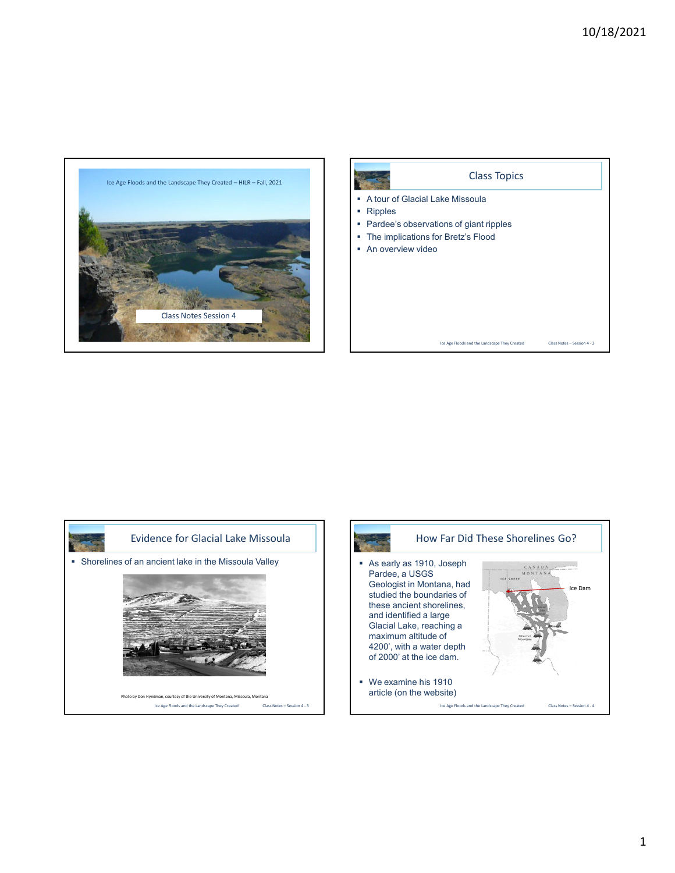







1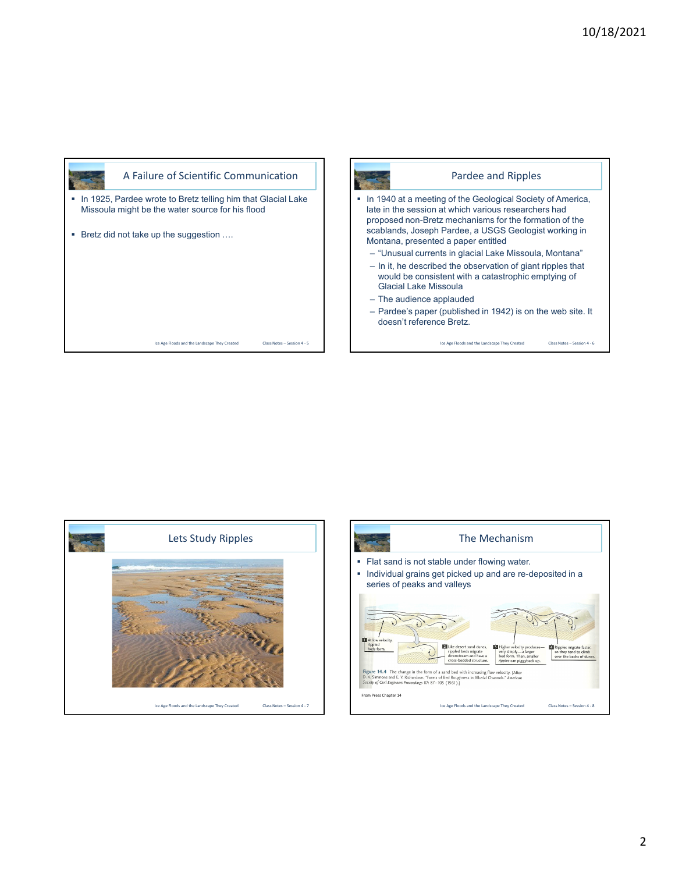Class Notes – Session 4 - 6







Pardee and Ripples

2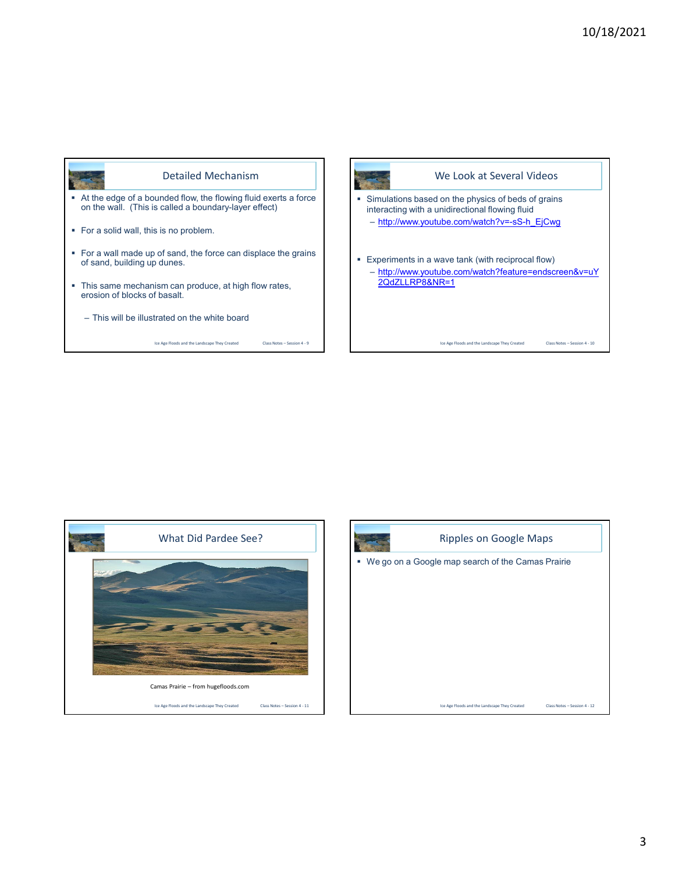

Ice Age Floods and the Landscape They Created